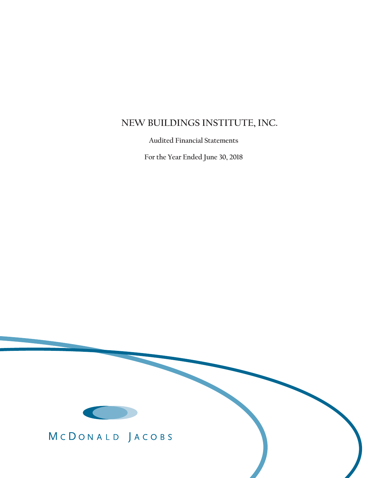# **NEW BUILDINGS INSTITUTE, INC.**

 **Audited Financial Statements** 

 **For the Year Ended June 30, 2018** 



MCDONALD JACOBS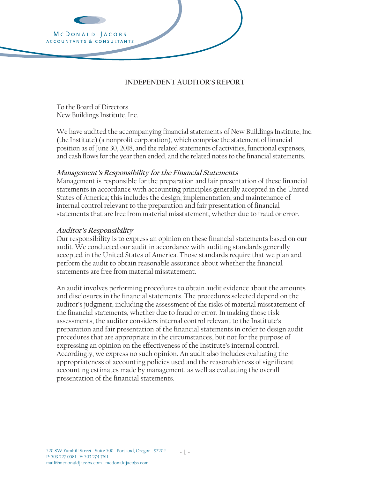

## **INDEPENDENT AUDITOR'S REPORT**

To the Board of Directors New Buildings Institute, Inc.

We have audited the accompanying financial statements of New Buildings Institute, Inc. (the Institute) (a nonprofit corporation), which comprise the statement of financial position as of June 30, 2018, and the related statements of activities, functional expenses, and cash flows for the year then ended, and the related notes to the financial statements.

#### **Management's Responsibility for the Financial Statements**

Management is responsible for the preparation and fair presentation of these financial statements in accordance with accounting principles generally accepted in the United States of America; this includes the design, implementation, and maintenance of internal control relevant to the preparation and fair presentation of financial statements that are free from material misstatement, whether due to fraud or error.

#### **Auditor's Responsibility**

audit. We conducted our audit in accordance with auditing standards generally<br>accepted in the United States of America. Those standards require that we plan and Our responsibility is to express an opinion on these financial statements based on our audit. We conducted our audit in accordance with auditing standards generally perform the audit to obtain reasonable assurance about whether the financial statements are free from material misstatement.

An audit involves performing procedures to obtain audit evidence about the amounts and disclosures in the financial statements. The procedures selected depend on the auditor's judgment, including the assessment of the risks of material misstatement of the financial statements, whether due to fraud or error. In making those risk assessments, the auditor considers internal control relevant to the Institute's preparation and fair presentation of the financial statements in order to design audit procedures that are appropriate in the circumstances, but not for the purpose of expressing an opinion on the effectiveness of the Institute's internal control. Accordingly, we express no such opinion. An audit also includes evaluating the appropriateness of accounting policies used and the reasonableness of significant accounting estimates made by management, as well as evaluating the overall presentation of the financial statements.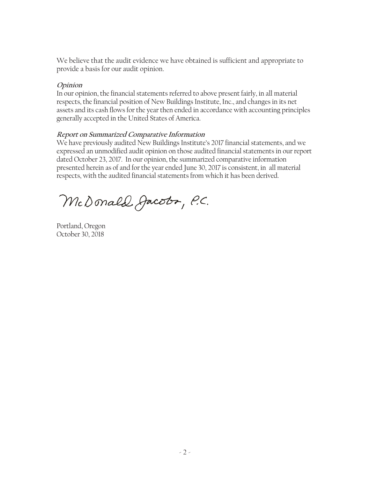We believe that the audit evidence we have obtained is sufficient and appropriate to provide a basis for our audit opinion.

# **Opinion**

In our opinion, the financial statements referred to above present fairly, in all material respects, the financial position of New Buildings Institute, Inc., and changes in its net assets and its cash flows for the year then ended in accordance with accounting principles generally accepted in the United States of America.

# **Report on Summarized Comparative Information**

We have previously audited New Buildings Institute's 2017 financial statements, and we expressed an unmodified audit opinion on those audited financial statements in our report dated October 23, 2017. In our opinion, the summarized comparative information presented herein as of and for the year ended June 30, 2017 is consistent, in all material respects, with the audited financial statements from which it has been derived.

McDonald Jacobs, P.C.

Portland, Oregon October 30, 2018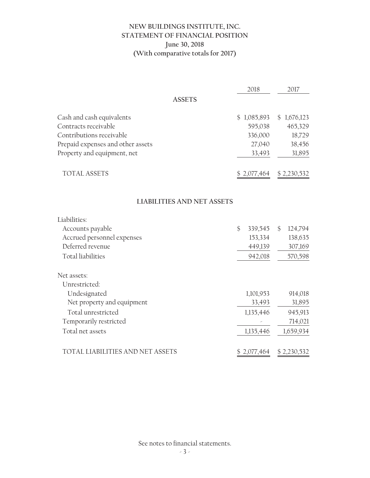# **NEW BUILDINGS INSTITUTE, INC. STATEMENT OF FINANCIAL POSITION June 30, 2018 (With comparative totals for 2017)**

|                                   | 2018          | 2017                     |
|-----------------------------------|---------------|--------------------------|
| <b>ASSETS</b>                     |               |                          |
| Cash and cash equivalents         | \$1,085,893   | \$1,676,123              |
| Contracts receivable              | 595,038       | 465,329                  |
| Contributions receivable          | 336,000       | 18,729                   |
| Prepaid expenses and other assets | 27,040        | 38,456                   |
| Property and equipment, net       | 33,493        | 31,895                   |
| <b>TOTAL ASSETS</b>               | \$2,077,464   | \$2,230,532              |
| <b>LIABILITIES AND NET ASSETS</b> |               |                          |
| Liabilities:                      |               |                          |
| Accounts payable                  | \$<br>339,545 | $\mathcal{S}$<br>124,794 |
| Accrued personnel expenses        | 153,334       | 138,635                  |
| Deferred revenue                  | 449,139       | 307,169                  |
| Total liabilities                 | 942,018       | 570,598                  |
| Net assets:                       |               |                          |
| Unrestricted:                     |               |                          |
| Undesignated                      | 1,101,953     | 914,018                  |
| Net property and equipment        | 33,493        | 31,895                   |
| Total unrestricted                | 1,135,446     | 945,913                  |
| Temporarily restricted            |               | 714,021                  |
| Total net assets                  | 1,135,446     | 1,659,934                |
| TOTAL LIABILITIES AND NET ASSETS  | \$2,077,464   | \$2,230,532              |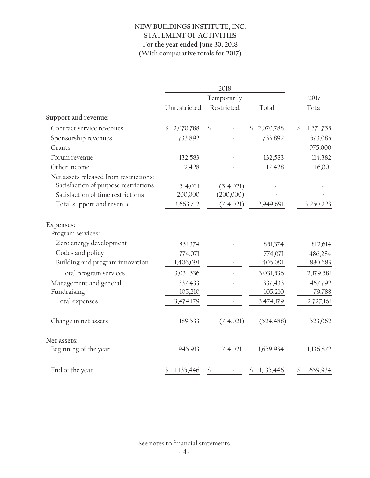# **NEW BUILDINGS INSTITUTE, INC. STATEMENT OF ACTIVITIES For the year ended June 30, 2018 (With comparative totals for 2017)**

|                                        |                 | Temporarily |                            | 2017            |
|----------------------------------------|-----------------|-------------|----------------------------|-----------------|
|                                        | Unrestricted    | Restricted  | Total                      | Total           |
| Support and revenue:                   |                 |             |                            |                 |
| Contract service revenues              | 2,070,788<br>\$ | \$          | 2,070,788<br>\$.           | \$<br>1,571,755 |
| Sponsorship revenues                   | 733,892         |             | 733,892                    | 573,085         |
| Grants                                 |                 |             |                            | 975,000         |
| Forum revenue                          | 132,583         |             | 132,583                    | 114,382         |
| Other income                           | 12,428          |             | 12,428                     | 16,001          |
| Net assets released from restrictions: |                 |             |                            |                 |
| Satisfaction of purpose restrictions   | 514,021         | (514, 021)  |                            |                 |
| Satisfaction of time restrictions      | 200,000         | (200,000)   |                            |                 |
| Total support and revenue              | 3,663,712       | (714, 021)  | 2,949,691                  | 3,250,223       |
| Expenses:                              |                 |             |                            |                 |
| Program services:                      |                 |             |                            |                 |
| Zero energy development                | 851,374         |             | 851,374                    | 812,614         |
| Codes and policy                       | 774,071         |             | 774,071                    | 486,284         |
| Building and program innovation        | 1,406,091       |             | 1,406,091                  | 880,683         |
| Total program services                 | 3,031,536       |             | 3,031,536                  | 2,179,581       |
| Management and general                 | 337,433         |             | 337,433                    | 467,792         |
| Fundraising                            | 105,210         |             | 105,210                    | 79,788          |
| Total expenses                         | 3,474,179       |             | 3,474,179                  | 2,727,161       |
| Change in net assets                   | 189,533         | (714, 021)  | (524, 488)                 | 523,062         |
| Net assets:                            |                 |             |                            |                 |
| Beginning of the year                  | 945,913         | 714,021     | 1,659,934                  | 1,136,872       |
| End of the year                        | 1,135,446<br>\$ | \$          | 1,135,446<br>$\mathcal{S}$ | 1,659,934<br>\$ |

See notes to financial statements.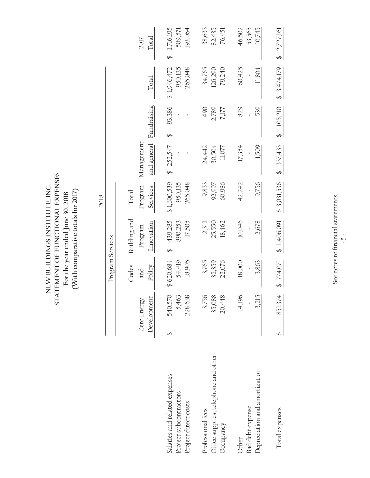STATEMENT OF FUNCTIONAL EXPENSES **STATEMENT OF FUNCTIONAL EXPENSES** NEW BUILDINGS INSTITUTE, INC. **NEW BUILDINGS INSTITUTE, INC.** (With comparative totals for 2017) **(With comparative totals for 2017)**For the year ended June 30, 2018 **For the year ended June 30, 2018**

|                                      |             |                  |              | 2018        |             |             |             |             |
|--------------------------------------|-------------|------------------|--------------|-------------|-------------|-------------|-------------|-------------|
|                                      |             | Program Services |              |             |             |             |             |             |
|                                      |             | Codes            | Building and | Total       |             |             |             |             |
|                                      | Zero Energy | and              | Program      | Program     | Management  |             |             | 2017        |
|                                      | Development | Policy           | Innovation   | Services    | and general | Fundraising | Total       | Total       |
| Salaries and related expenses        | 540,570     | \$620,684        | 439,285      | \$1,600,539 | 252,547     | 93,386      | \$1,946,472 | 1,716,195   |
| Project subcontractors               | 5,463       | 54,419           | 890,253      | 950,135     |             |             | 950,135     | 509,571     |
| Project direct costs                 | 228,638     | 18,905           | 17,505       | 265,048     |             |             | 265,048     | 193,064     |
| Professional fees                    | 3,756       | 3,765            | 2,312        | 9,833       | 24,442      | 06+         | 34,765      | 38,633      |
| Office supplies, telephone and other | 35,088      | 32,359           | 25,550       | 92,997      | 30,504      | 2,789       | 126,290     | 82,435      |
| Occupancy                            | 20,448      | 22,076           | 18,462       | 60,986      | 11,077      | 7,177       | 79,240      | 76,451      |
| Other                                | 14,196      | 18,000           | 10,046       | 42,242      | 17,354      | 829         | 60,425      | 46,502      |
| Bad debt expense                     |             |                  |              |             |             |             |             | 53,565      |
| Depreciation and amortization        | 3,215       | 3,863            | 2,678        | 9,756       | 1,509       | 539         | 11,804      | 10,745      |
| Total expenses                       | 851,374     | 774,071          | \$1,406,091  | \$3,031,536 | 337,433     | 105,210     | \$3,474,179 | \$2,727,161 |

See notes to financial statements. See notes to financial statements.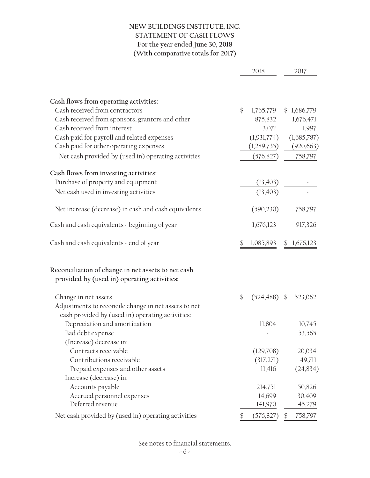# **NEW BUILDINGS INSTITUTE, INC. STATEMENT OF CASH FLOWS For the year ended June 30, 2018 (With comparative totals for 2017)**

|                                                                                                          |               | 2018            | 2017          |
|----------------------------------------------------------------------------------------------------------|---------------|-----------------|---------------|
|                                                                                                          |               |                 |               |
| Cash flows from operating activities:                                                                    |               |                 |               |
| Cash received from contractors                                                                           | $\mathcal{S}$ | 1,765,779       | \$1,686,779   |
| Cash received from sponsors, grantors and other                                                          |               | 875,832         | 1,676,471     |
| Cash received from interest                                                                              |               | 3,071           | 1,997         |
| Cash paid for payroll and related expenses                                                               |               | (1, 931, 774)   | (1,685,787)   |
| Cash paid for other operating expenses                                                                   |               | (1,289,735)     | (920, 663)    |
| Net cash provided by (used in) operating activities                                                      |               | (576,827)       | 758,797       |
| Cash flows from investing activities:                                                                    |               |                 |               |
| Purchase of property and equipment                                                                       |               | (13, 403)       |               |
| Net cash used in investing activities                                                                    |               | (13, 403)       |               |
| Net increase (decrease) in cash and cash equivalents                                                     |               | (590, 230)      | 758,797       |
| Cash and cash equivalents - beginning of year                                                            |               | 1,676,123       | 917,326       |
| Cash and cash equivalents - end of year                                                                  |               | 1,085,893       | 1,676,123     |
| Reconciliation of change in net assets to net cash<br>provided by (used in) operating activities:        |               |                 |               |
| Change in net assets                                                                                     | $\mathcal{S}$ | $(524, 488)$ \$ | 523,062       |
| Adjustments to reconcile change in net assets to net<br>cash provided by (used in) operating activities: |               |                 |               |
| Depreciation and amortization                                                                            |               | 11,804          | 10,745        |
| Bad debt expense                                                                                         |               |                 | 53,565        |
| (Increase) decrease in:                                                                                  |               |                 |               |
| Contracts receivable                                                                                     |               | (129,708)       | 20,034        |
| Contributions receivable                                                                                 |               | (317, 271)      | 49,711        |
| Prepaid expenses and other assets                                                                        |               | 11,416          | (24, 834)     |
| Increase (decrease) in:                                                                                  |               |                 |               |
| Accounts payable                                                                                         |               | 214,751         | 50,826        |
| Accrued personnel expenses                                                                               |               | 14,699          | 30,409        |
| Deferred revenue                                                                                         |               | 141,970         | 45,279        |
| Net cash provided by (used in) operating activities                                                      | \$            | (576,827)       | \$<br>758,797 |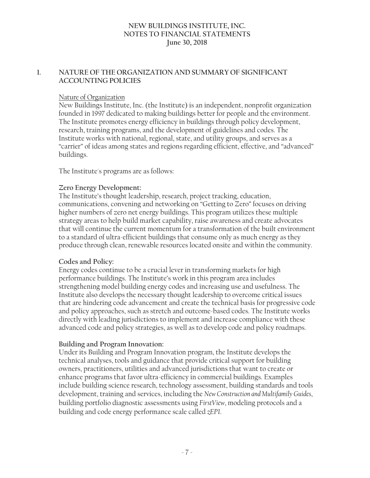# **1. NATURE OF THE ORGANIZATION AND SUMMARY OF SIGNIFICANT ACCOUNTING POLICIES**

## Nature of Organization

New Buildings Institute, Inc. (the Institute) is an independent, nonprofit organization founded in 1997 dedicated to making buildings better for people and the environment. The Institute promotes energy efficiency in buildings through policy development, research, training programs, and the development of guidelines and codes. The Institute works with national, regional, state, and utility groups, and serves as a "carrier" of ideas among states and regions regarding efficient, effective, and "advanced" buildings.

The Institute's programs are as follows:

# **Zero Energy Development:**

The Institute's thought leadership, research, project tracking, education, communications, convening and networking on "Getting to Zero" focuses on driving higher numbers of zero net energy buildings. This program utilizes these multiple strategy areas to help build market capability, raise awareness and create advocates that will continue the current momentum for a transformation of the built environment to a standard of ultra-efficient buildings that consume only as much energy as they produce through clean, renewable resources located onsite and within the community.

# **Codes and Policy:**

Energy codes continue to be a crucial lever in transforming markets for high performance buildings. The Institute's work in this program area includes strengthening model building energy codes and increasing use and usefulness. The Institute also develops the necessary thought leadership to overcome critical issues that are hindering code advancement and create the technical basis for progressive code and policy approaches, such as stretch and outcome-based codes. The Institute works directly with leading jurisdictions to implement and increase compliance with these advanced code and policy strategies, as well as to develop code and policy roadmaps.

# **Building and Program Innovation:**

Under its Building and Program Innovation program, the Institute develops the technical analyses, tools and guidance that provide critical support for building owners, practitioners, utilities and advanced jurisdictions that want to create or enhance programs that favor ultra-efficiency in commercial buildings. Examples include building science research, technology assessment, building standards and tools development, training and services, including the *New Construction and Multifamily Guides*, building portfolio diagnostic assessments using *FirstView*, modeling protocols and a building and code energy performance scale called *zEPI*.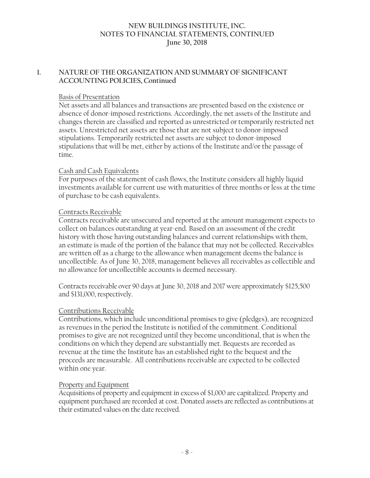# **1. NATURE OF THE ORGANIZATION AND SUMMARY OF SIGNIFICANT ACCOUNTING POLICIES, Continued**

## Basis of Presentation

Net assets and all balances and transactions are presented based on the existence or absence of donor-imposed restrictions. Accordingly, the net assets of the Institute and changes therein are classified and reported as unrestricted or temporarily restricted net assets. Unrestricted net assets are those that are not subject to donor-imposed stipulations. Temporarily restricted net assets are subject to donor-imposed stipulations that will be met, either by actions of the Institute and/or the passage of time.

#### Cash and Cash Equivalents

For purposes of the statement of cash flows, the Institute considers all highly liquid investments available for current use with maturities of three months or less at the time of purchase to be cash equivalents.

#### Contracts Receivable

Contracts receivable are unsecured and reported at the amount management expects to collect on balances outstanding at year-end. Based on an assessment of the credit history with those having outstanding balances and current relationships with them, an estimate is made of the portion of the balance that may not be collected. Receivables are written off as a charge to the allowance when management deems the balance is uncollectible. As of June 30, 2018, management believes all receivables as collectible and no allowance for uncollectible accounts is deemed necessary.

Contracts receivable over 90 days at June 30, 2018 and 2017 were approximately \$125,500 and \$131,000, respectively.

# Contributions Receivable

Contributions, which include unconditional promises to give (pledges), are recognized as revenues in the period the Institute is notified of the commitment. Conditional promises to give are not recognized until they become unconditional, that is when the conditions on which they depend are substantially met. Bequests are recorded as revenue at the time the Institute has an established right to the bequest and the proceeds are measurable. All contributions receivable are expected to be collected within one year.

# Property and Equipment

Acquisitions of property and equipment in excess of \$1,000 are capitalized. Property and equipment purchased are recorded at cost. Donated assets are reflected as contributions at their estimated values on the date received.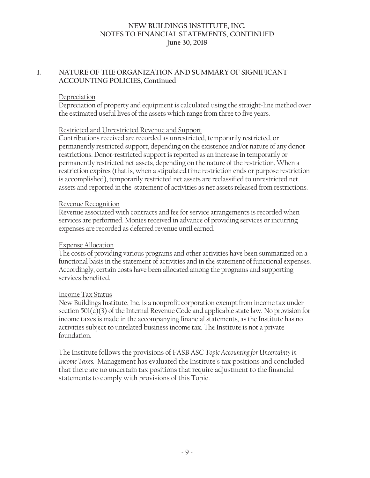## **1. NATURE OF THE ORGANIZATION AND SUMMARY OF SIGNIFICANT ACCOUNTING POLICIES, Continued**

#### Depreciation

Depreciation of property and equipment is calculated using the straight-line method over the estimated useful lives of the assets which range from three to five years.

#### Restricted and Unrestricted Revenue and Support

Contributions received are recorded as unrestricted, temporarily restricted, or permanently restricted support, depending on the existence and/or nature of any donor restrictions. Donor-restricted support is reported as an increase in temporarily or permanently restricted net assets, depending on the nature of the restriction. When a restriction expires (that is, when a stipulated time restriction ends or purpose restriction is accomplished), temporarily restricted net assets are reclassified to unrestricted net assets and reported in the statement of activities as net assets released from restrictions.

#### Revenue Recognition

Revenue associated with contracts and fee for service arrangements is recorded when services are performed. Monies received in advance of providing services or incurring expenses are recorded as deferred revenue until earned.

# Expense Allocation

The costs of providing various programs and other activities have been summarized on a functional basis in the statement of activities and in the statement of functional expenses. Accordingly, certain costs have been allocated among the programs and supporting services benefited.

#### Income Tax Status

New Buildings Institute, Inc. is a nonprofit corporation exempt from income tax under section  $501(c)(3)$  of the Internal Revenue Code and applicable state law. No provision for income taxes is made in the accompanying financial statements, as the Institute has no activities subject to unrelated business income tax. The Institute is not a private foundation.

The Institute follows the provisions of FASB ASC *Topic Accounting for Uncertainty in Income Taxes.* Management has evaluated the Institute's tax positions and concluded that there are no uncertain tax positions that require adjustment to the financial statements to comply with provisions of this Topic.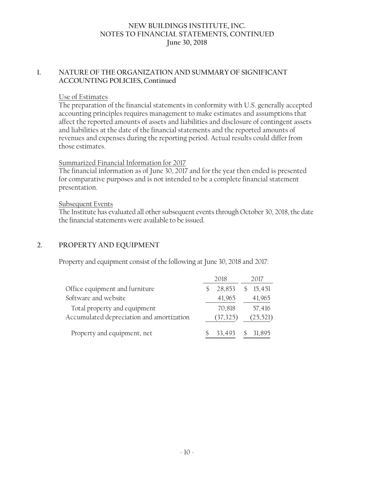## **1. NATURE OF THE ORGANIZATION AND SUMMARY OF SIGNIFICANT ACCOUNTING POLICIES, Continued**

#### Use of Estimates

The preparation of the financial statements in conformity with U.S. generally accepted accounting principles requires management to make estimates and assumptions that affect the reported amounts of assets and liabilities and disclosure of contingent assets and liabilities at the date of the financial statements and the reported amounts of revenues and expenses during the reporting period. Actual results could differ from those estimates.

# Summarized Financial Information for 2017

The financial information as of June 30, 2017 and for the year then ended is presented for comparative purposes and is not intended to be a complete financial statement presentation.

#### Subsequent Events

The Institute has evaluated all other subsequent events through October 30, 2018, the date the financial statements were available to be issued.

# **2. PROPERTY AND EQUIPMENT**

Property and equipment consist of the following at June 30, 2018 and 2017:

|                                           | 2018      | 2017 |           |
|-------------------------------------------|-----------|------|-----------|
| Office equipment and furniture            | 28,853    |      | \$15,451  |
| Software and website                      | 41,965    |      | 41,965    |
| Total property and equipment              | 70,818    |      | 57,416    |
| Accumulated depreciation and amortization | (37, 325) |      | (25, 521) |
| Property and equipment, net               | 33,493    |      | \$31,895  |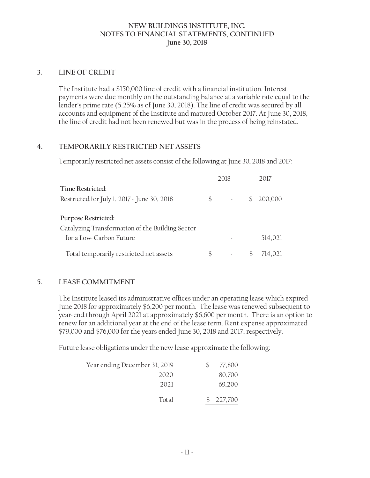#### **3. LINE OF CREDIT**

The Institute had a \$150,000 line of credit with a financial institution. Interest payments were due monthly on the outstanding balance at a variable rate equal to the lender's prime rate (5.25% as of June 30, 2018). The line of credit was secured by all accounts and equipment of the Institute and matured October 2017. At June 30, 2018, the line of credit had not been renewed but was in the process of being reinstated.

# **4. TEMPORARILY RESTRICTED NET ASSETS**

Temporarily restricted net assets consist of the following at June 30, 2018 and 2017:

|                                                  | 2018 |                           | 2017    |  |
|--------------------------------------------------|------|---------------------------|---------|--|
| Time Restricted:                                 |      |                           |         |  |
| Restricted for July 1, 2017 - June 30, 2018      | \$.  | $\mathcal{A}=\mathcal{A}$ | 200,000 |  |
| <b>Purpose Restricted:</b>                       |      |                           |         |  |
| Catalyzing Transformation of the Building Sector |      |                           |         |  |
| for a Low-Carbon Future                          |      |                           | 514,021 |  |
| Total temporarily restricted net assets          |      |                           | 714,021 |  |

# **5. LEASE COMMITMENT**

The Institute leased its administrative offices under an operating lease which expired June 2018 for approximately \$6,200 per month. The lease was renewed subsequent to year-end through April 2021 at approximately \$6,600 per month. There is an option to renew for an additional year at the end of the lease term. Rent expense approximated \$79,000 and \$76,000 for the years ended June 30, 2018 and 2017, respectively.

Future lease obligations under the new lease approximate the following:

| 2021  | 69,200  |  |
|-------|---------|--|
| Total | 227,700 |  |